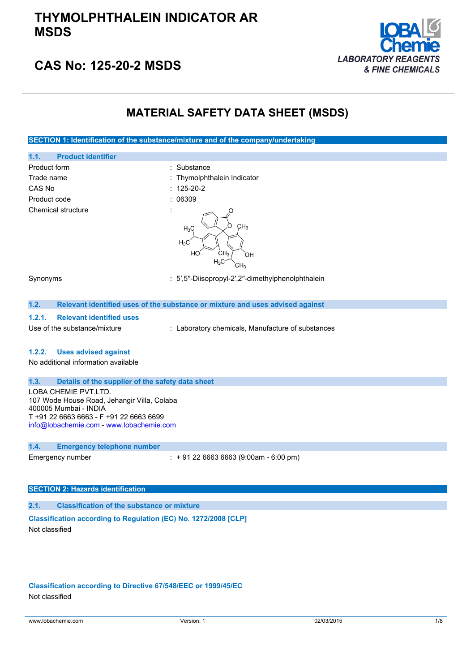## **THYMOLPHTHALEIN INDICATOR AR MSDS**



## **CAS No: 125-20-2 MSDS**

## **MATERIAL SAFETY DATA SHEET (MSDS)**

**SECTION 1: Identification of the substance/mixture and of the company/undertaking**

- **1.1. Product identifier** Product form : Substance : Substance Trade name  $\qquad \qquad :$  Thymolphthalein Indicator CAS No : 125-20-2 Product code : 06309 Chemical structure
	- $H_2C$  $H<sub>2</sub>$  $H_3C$

Synonyms : 5′,5′′-Diisopropyl-2′,2′′-dimethylphenolphthalein

CH<sub>2</sub>

#### **1.2. Relevant identified uses of the substance or mixture and uses advised against**

#### **1.2.1. Relevant identified uses**

Use of the substance/mixture : Laboratory chemicals, Manufacture of substances

### **1.2.2. Uses advised against**

No additional information available

## **1.3. Details of the supplier of the safety data sheet**

LOBA CHEMIE PVT.LTD. 107 Wode House Road, Jehangir Villa, Colaba 400005 Mumbai - INDIA T +91 22 6663 6663 - F +91 22 6663 6699 [info@lobachemie.com](mailto:info@lobachemie.com) - <www.lobachemie.com>

### **1.4. Emergency telephone number**

Emergency number : + 91 22 6663 6663 (9:00am - 6:00 pm)

## **SECTION 2: Hazards identification**

**2.1. Classification of the substance or mixture**

**Classification according to Regulation (EC) No. 1272/2008 [CLP]** Not classified

**Classification according to Directive 67/548/EEC or 1999/45/EC** Not classified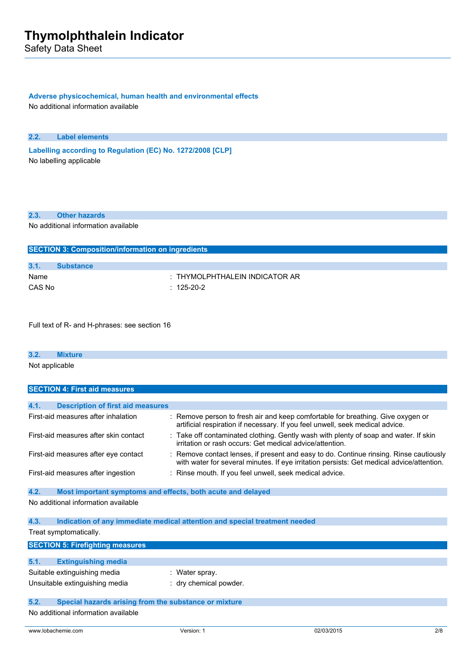Safety Data Sheet

## **Adverse physicochemical, human health and environmental effects**

No additional information available

### **2.2. Label elements**

**Labelling according to** Regulation (EC) No. 1272/2008 [CLP] No labelling applicable

### **2.3. Other hazards**

No additional information available

| <b>SECTION 3: Composition/information on ingredients</b> |                                    |  |  |
|----------------------------------------------------------|------------------------------------|--|--|
|                                                          |                                    |  |  |
| 3.1.                                                     | <b>Substance</b>                   |  |  |
| Name                                                     | $\pm$ THYMOLPHTHALEIN INDICATOR AR |  |  |
| CAS No                                                   | $: 125-20-2$                       |  |  |

Full text of R- and H-phrases: see section 16

| 3.2.           | kture |  |  |  |
|----------------|-------|--|--|--|
| Not applicable |       |  |  |  |

| <b>SECTION 4: First aid measures</b>             |                                                                                                                                                                                     |  |  |
|--------------------------------------------------|-------------------------------------------------------------------------------------------------------------------------------------------------------------------------------------|--|--|
|                                                  |                                                                                                                                                                                     |  |  |
| 4.1.<br><b>Description of first aid measures</b> |                                                                                                                                                                                     |  |  |
| First-aid measures after inhalation              | : Remove person to fresh air and keep comfortable for breathing. Give oxygen or<br>artificial respiration if necessary. If you feel unwell, seek medical advice.                    |  |  |
| First-aid measures after skin contact            | : Take off contaminated clothing. Gently wash with plenty of soap and water. If skin<br>irritation or rash occurs: Get medical advice/attention.                                    |  |  |
| First-aid measures after eye contact             | : Remove contact lenses, if present and easy to do. Continue rinsing. Rinse cautiously<br>with water for several minutes. If eye irritation persists: Get medical advice/attention. |  |  |
| First-aid measures after ingestion               | : Rinse mouth. If you feel unwell, seek medical advice.                                                                                                                             |  |  |

### **4.2. Most important symptoms and effects, both acute and delayed** No additional information available

**4.3. Indication of any immediate medical attention and special treatment needed**

Treat symptomatically.

| <b>SECTION 5: Firefighting measures</b>                       |                            |                        |  |
|---------------------------------------------------------------|----------------------------|------------------------|--|
|                                                               |                            |                        |  |
| 5.1.                                                          | <b>Extinguishing media</b> |                        |  |
| Suitable extinguishing media<br>: Water spray.                |                            |                        |  |
| Unsuitable extinguishing media                                |                            | : dry chemical powder. |  |
|                                                               |                            |                        |  |
| 5.2.<br>Special hazards arising from the substance or mixture |                            |                        |  |
| No additional information available                           |                            |                        |  |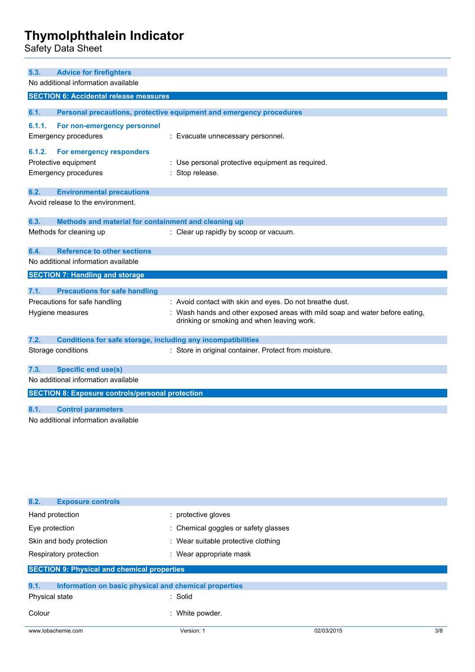Safety Data Sheet

| <b>Advice for firefighters</b><br>5.3.                               |                                                                              |  |
|----------------------------------------------------------------------|------------------------------------------------------------------------------|--|
| No additional information available                                  |                                                                              |  |
| <b>SECTION 6: Accidental release measures</b>                        |                                                                              |  |
|                                                                      |                                                                              |  |
| 6.1.                                                                 | Personal precautions, protective equipment and emergency procedures          |  |
| 6.1.1.<br>For non-emergency personnel                                |                                                                              |  |
| <b>Emergency procedures</b>                                          | : Evacuate unnecessary personnel.                                            |  |
| 6.1.2.<br>For emergency responders                                   |                                                                              |  |
| Protective equipment                                                 | : Use personal protective equipment as required.                             |  |
| <b>Emergency procedures</b>                                          | : Stop release.                                                              |  |
|                                                                      |                                                                              |  |
| 6.2.<br><b>Environmental precautions</b>                             |                                                                              |  |
| Avoid release to the environment.                                    |                                                                              |  |
| 6.3.<br>Methods and material for containment and cleaning up         |                                                                              |  |
| Methods for cleaning up                                              | : Clear up rapidly by scoop or vacuum.                                       |  |
|                                                                      |                                                                              |  |
| <b>Reference to other sections</b><br>6.4.                           |                                                                              |  |
| No additional information available                                  |                                                                              |  |
| <b>SECTION 7: Handling and storage</b>                               |                                                                              |  |
| 7.1.<br><b>Precautions for safe handling</b>                         |                                                                              |  |
| Precautions for safe handling                                        | : Avoid contact with skin and eyes. Do not breathe dust.                     |  |
| Hygiene measures                                                     | : Wash hands and other exposed areas with mild soap and water before eating, |  |
|                                                                      | drinking or smoking and when leaving work.                                   |  |
|                                                                      |                                                                              |  |
| 7.2.<br>Conditions for safe storage, including any incompatibilities |                                                                              |  |
| Storage conditions                                                   | : Store in original container. Protect from moisture.                        |  |
| <b>Specific end use(s)</b><br>7.3.                                   |                                                                              |  |
| No additional information available                                  |                                                                              |  |
|                                                                      |                                                                              |  |
| <b>SECTION 8: Exposure controls/personal protection</b>              |                                                                              |  |
| 8.1.<br><b>Control parameters</b>                                    |                                                                              |  |
| No additional information available                                  |                                                                              |  |
|                                                                      |                                                                              |  |
|                                                                      |                                                                              |  |

| 8.2.<br><b>Exposure controls</b>                   |                                                       |                                      |     |  |
|----------------------------------------------------|-------------------------------------------------------|--------------------------------------|-----|--|
| Hand protection                                    | : protective gloves                                   |                                      |     |  |
| Eye protection                                     |                                                       | : Chemical goggles or safety glasses |     |  |
| Skin and body protection                           |                                                       | : Wear suitable protective clothing  |     |  |
| Respiratory protection                             | : Wear appropriate mask                               |                                      |     |  |
| <b>SECTION 9: Physical and chemical properties</b> |                                                       |                                      |     |  |
| 9.1.                                               | Information on basic physical and chemical properties |                                      |     |  |
| Physical state                                     | : Solid                                               |                                      |     |  |
| Colour                                             | : White powder.                                       |                                      |     |  |
| www.lobachemie.com                                 | Version: 1                                            | 02/03/2015                           | 3/8 |  |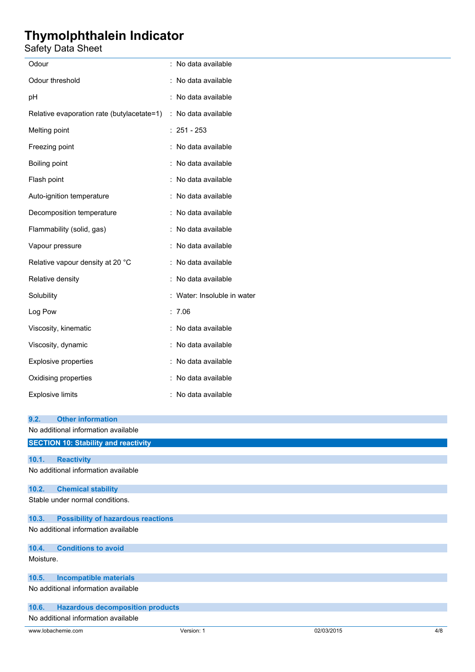## Safety Data Sheet

| Odour                                                          | : No data available         |  |  |
|----------------------------------------------------------------|-----------------------------|--|--|
| Odour threshold                                                | : No data available         |  |  |
| pH                                                             | : No data available         |  |  |
| Relative evaporation rate (butylacetate=1) : No data available |                             |  |  |
| Melting point                                                  | $: 251 - 253$               |  |  |
| Freezing point                                                 | : No data available         |  |  |
| Boiling point                                                  | : No data available         |  |  |
| Flash point                                                    | : No data available         |  |  |
| Auto-ignition temperature                                      | : No data available         |  |  |
| Decomposition temperature                                      | : No data available         |  |  |
| Flammability (solid, gas)                                      | : No data available         |  |  |
| Vapour pressure                                                | : No data available         |  |  |
| Relative vapour density at 20 °C                               | : No data available         |  |  |
| Relative density                                               | : No data available         |  |  |
| Solubility                                                     | : Water: Insoluble in water |  |  |
| Log Pow                                                        | : 7.06                      |  |  |
| Viscosity, kinematic                                           | : No data available         |  |  |
| Viscosity, dynamic                                             | : No data available         |  |  |
| Explosive properties                                           | : No data available         |  |  |
| Oxidising properties                                           | : No data available         |  |  |
| <b>Explosive limits</b>                                        | : No data available         |  |  |
|                                                                |                             |  |  |
| <b>Other information</b><br>9.2.                               |                             |  |  |
| No additional information available                            |                             |  |  |
| <b>SECTION 10: Stability and reactivity</b>                    |                             |  |  |
| 10.1.<br><b>Reactivity</b>                                     |                             |  |  |
| No additional information available                            |                             |  |  |
| 10.2.<br><b>Chemical stability</b>                             |                             |  |  |
| Stable under normal conditions.                                |                             |  |  |
|                                                                |                             |  |  |

## **10.3. Possibility of hazardous reactions**

No additional information available

|           | 10.4. Conditions to avoid |
|-----------|---------------------------|
| Moisture. |                           |
|           |                           |
|           |                           |

## **10.5. Incompatible materials**

No additional information available

## **10.6. Hazardous decomposition products**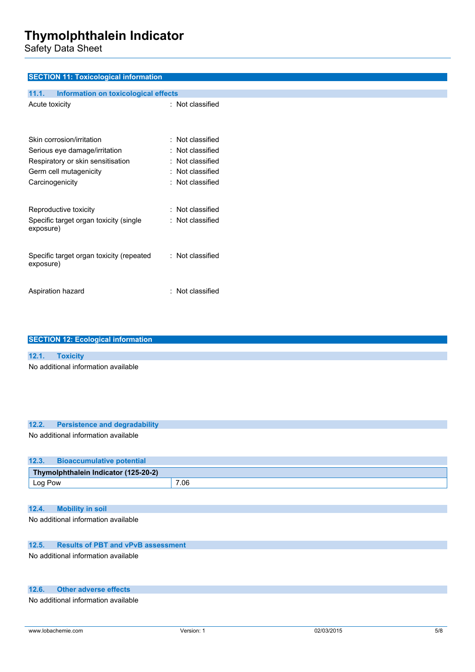Safety Data Sheet

| <b>SECTION 11: Toxicological information</b>  |                  |
|-----------------------------------------------|------------------|
| 11.1.<br>Information on toxicological effects |                  |
| Acute toxicity                                | : Not classified |
| Skin corrosion/irritation                     | : Not classified |
| Serious eye damage/irritation                 | : Not classified |
| Respiratory or skin sensitisation             | : Not classified |
| Germ cell mutagenicity                        | : Not classified |
| Carcinogenicity                               | : Not classified |
| Reproductive toxicity                         | : Not classified |
| Specific target organ toxicity (single        | : Not classified |
| exposure)                                     |                  |
| Specific target organ toxicity (repeated      | : Not classified |
| exposure)                                     |                  |
|                                               |                  |
| Aspiration hazard                             | : Not classified |
|                                               |                  |

| <b>SECTION 12: Ecological information</b> |                                     |  |  |
|-------------------------------------------|-------------------------------------|--|--|
|                                           |                                     |  |  |
| 12.1.                                     | <b>Toxicity</b>                     |  |  |
|                                           | No additional information available |  |  |

## **12.2. Persistence and degradability**

No additional information available

| 12.3.                                | <b>Bioaccumulative potential</b> |      |  |  |
|--------------------------------------|----------------------------------|------|--|--|
| Thymolphthalein Indicator (125-20-2) |                                  |      |  |  |
| Log Pow                              |                                  | 7.06 |  |  |

### **12.4. Mobility in soil**

No additional information available

### **12.5. Results of PBT and vPvB assessment**

No additional information available

## **12.6. Other adverse effects**

No additional information available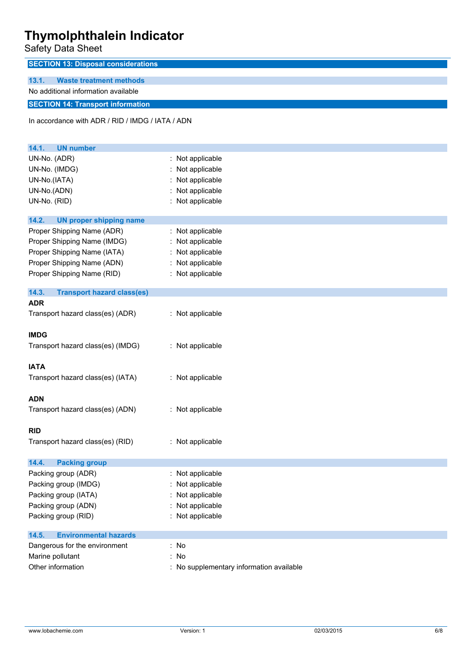Safety Data Sheet

| <b>SECTION 13: Disposal considerations</b>       |                                          |
|--------------------------------------------------|------------------------------------------|
| 13.1.<br><b>Waste treatment methods</b>          |                                          |
| No additional information available              |                                          |
| <b>SECTION 14: Transport information</b>         |                                          |
| In accordance with ADR / RID / IMDG / IATA / ADN |                                          |
| 14.1.<br><b>UN number</b>                        |                                          |
| UN-No. (ADR)                                     | : Not applicable                         |
| UN-No. (IMDG)                                    | : Not applicable                         |
| UN-No.(IATA)                                     | Not applicable                           |
| UN-No.(ADN)                                      | : Not applicable                         |
| UN-No. (RID)                                     | : Not applicable                         |
| 14.2.<br><b>UN proper shipping name</b>          |                                          |
| Proper Shipping Name (ADR)                       | : Not applicable                         |
| Proper Shipping Name (IMDG)                      | : Not applicable                         |
| Proper Shipping Name (IATA)                      | : Not applicable                         |
| Proper Shipping Name (ADN)                       | : Not applicable                         |
| Proper Shipping Name (RID)                       | : Not applicable                         |
| 14.3.<br><b>Transport hazard class(es)</b>       |                                          |
| <b>ADR</b>                                       |                                          |
| Transport hazard class(es) (ADR)                 | : Not applicable                         |
| <b>IMDG</b>                                      |                                          |
| Transport hazard class(es) (IMDG)                | : Not applicable                         |
| <b>IATA</b>                                      |                                          |
| Transport hazard class(es) (IATA)                | : Not applicable                         |
|                                                  |                                          |
| <b>ADN</b>                                       |                                          |
| Transport hazard class(es) (ADN)                 | : Not applicable                         |
| <b>RID</b>                                       |                                          |
| Transport hazard class(es) (RID)                 | : Not applicable                         |
|                                                  |                                          |
| 14.4.<br><b>Packing group</b>                    |                                          |
| Packing group (ADR)                              | : Not applicable                         |
| Packing group (IMDG)                             | Not applicable                           |
| Packing group (IATA)                             | Not applicable                           |
| Packing group (ADN)                              | Not applicable                           |
| Packing group (RID)                              | : Not applicable                         |
| 14.5.<br><b>Environmental hazards</b>            |                                          |
| Dangerous for the environment                    | : No                                     |
| Marine pollutant                                 | : No                                     |
| Other information                                | : No supplementary information available |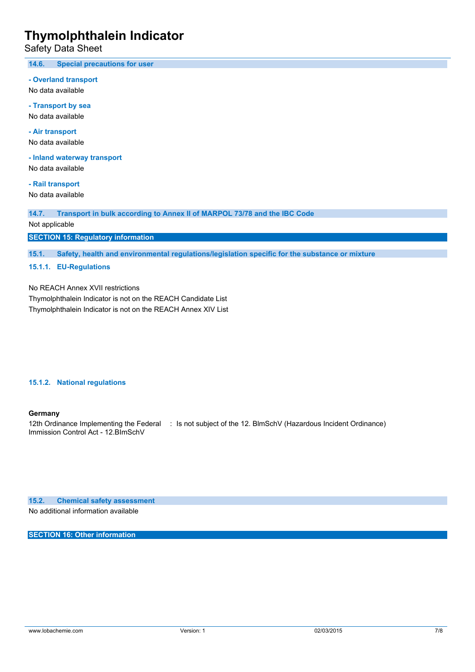Safety Data Sheet

**14.6. Special precautions for user**

**- Overland transport**

No data available

**- Transport by sea** No data available

**- Air transport** No data available

**- Inland waterway transport**

No data available

**- Rail transport** No data available

**14.7. Transport in bulk according to Annex II of MARPOL 73/78 and the IBC Code**

Not applicable

**SECTION 15: Regulatory information**

**15.1. Safety, health and environmental regulations/legislation specific for the substance or mixture**

**15.1.1. EU-Regulations**

No REACH Annex XVII restrictions

Thymolphthalein Indicator is not on the REACH Candidate List Thymolphthalein Indicator is not on the REACH Annex XIV List

**15.1.2. National regulations**

#### **Germany**

12th Ordinance Implementing the Federal : Is not subject of the 12. BlmSchV (Hazardous Incident Ordinance) Immission Control Act - 12.BImSchV

**15.2. Chemical safety assessment**

No additional information available

**SECTION 16: Other information**